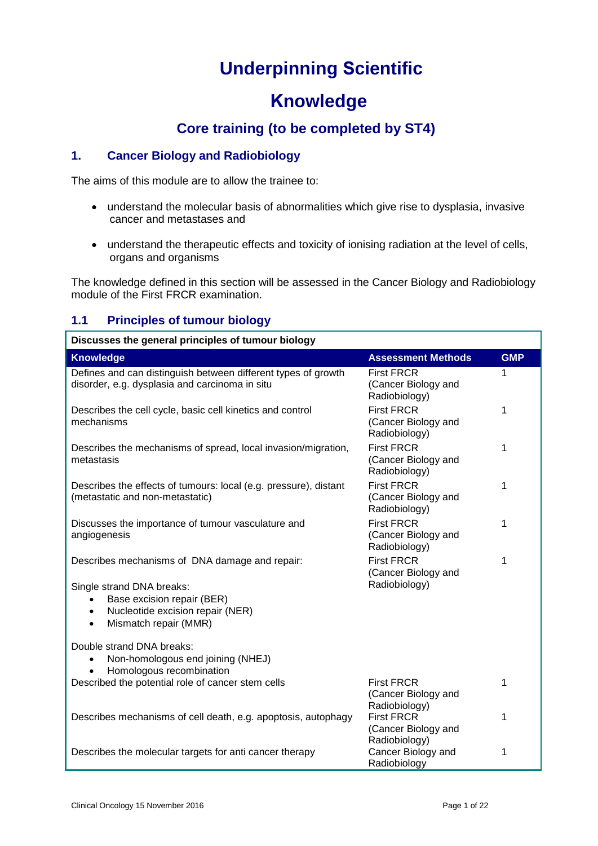# **Underpinning Scientific**

# **Knowledge**

# **Core training (to be completed by ST4)**

#### **1. Cancer Biology and Radiobiology**

The aims of this module are to allow the trainee to:

- understand the molecular basis of abnormalities which give rise to dysplasia, invasive cancer and metastases and
- understand the therapeutic effects and toxicity of ionising radiation at the level of cells, organs and organisms

The knowledge defined in this section will be assessed in the Cancer Biology and Radiobiology module of the First FRCR examination.

### **1.1 Principles of tumour biology**

| Discusses the general principles of tumour biology                                                                                                          |                                                           |            |
|-------------------------------------------------------------------------------------------------------------------------------------------------------------|-----------------------------------------------------------|------------|
| <b>Knowledge</b>                                                                                                                                            | <b>Assessment Methods</b>                                 | <b>GMP</b> |
| Defines and can distinguish between different types of growth<br>disorder, e.g. dysplasia and carcinoma in situ                                             | <b>First FRCR</b><br>(Cancer Biology and<br>Radiobiology) | 1          |
| Describes the cell cycle, basic cell kinetics and control<br>mechanisms                                                                                     | <b>First FRCR</b><br>(Cancer Biology and<br>Radiobiology) | 1          |
| Describes the mechanisms of spread, local invasion/migration,<br>metastasis                                                                                 | <b>First FRCR</b><br>(Cancer Biology and<br>Radiobiology) | 1          |
| Describes the effects of tumours: local (e.g. pressure), distant<br>(metastatic and non-metastatic)                                                         | <b>First FRCR</b><br>(Cancer Biology and<br>Radiobiology) | 1          |
| Discusses the importance of tumour vasculature and<br>angiogenesis                                                                                          | <b>First FRCR</b><br>(Cancer Biology and<br>Radiobiology) | 1          |
| Describes mechanisms of DNA damage and repair:                                                                                                              | <b>First FRCR</b><br>(Cancer Biology and                  | 1          |
| Single strand DNA breaks:<br>Base excision repair (BER)<br>$\bullet$<br>Nucleotide excision repair (NER)<br>$\bullet$<br>Mismatch repair (MMR)<br>$\bullet$ | Radiobiology)                                             |            |
| Double strand DNA breaks:<br>Non-homologous end joining (NHEJ)<br>$\bullet$<br>Homologous recombination                                                     |                                                           |            |
| Described the potential role of cancer stem cells                                                                                                           | <b>First FRCR</b><br>(Cancer Biology and<br>Radiobiology) | 1          |
| Describes mechanisms of cell death, e.g. apoptosis, autophagy                                                                                               | <b>First FRCR</b><br>(Cancer Biology and<br>Radiobiology) | 1          |
| Describes the molecular targets for anti cancer therapy                                                                                                     | Cancer Biology and<br>Radiobiology                        | 1          |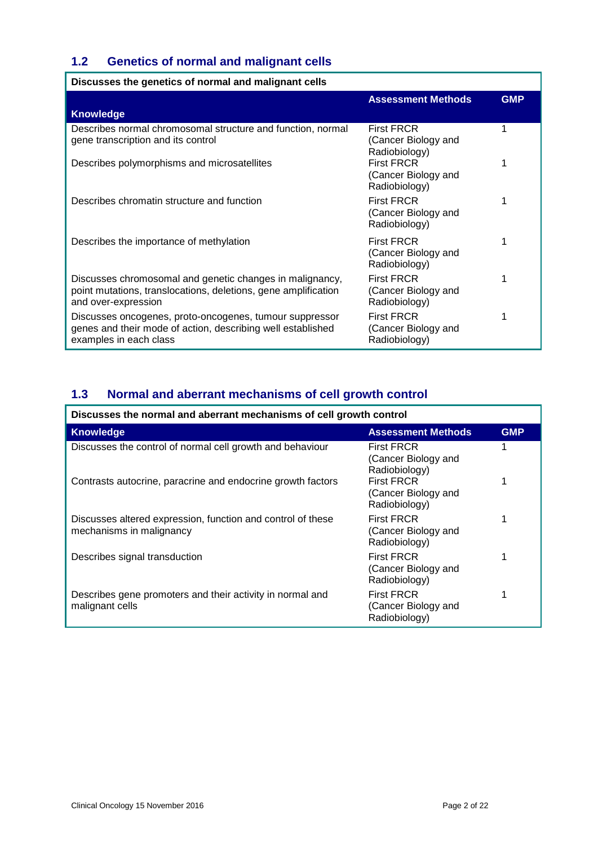## **1.2 Genetics of normal and malignant cells**

| Discusses the genetics of normal and malignant cells                                                                                              |                                                           |            |
|---------------------------------------------------------------------------------------------------------------------------------------------------|-----------------------------------------------------------|------------|
|                                                                                                                                                   | <b>Assessment Methods</b>                                 | <b>GMP</b> |
| <b>Knowledge</b>                                                                                                                                  |                                                           |            |
| Describes normal chromosomal structure and function, normal<br>gene transcription and its control                                                 | <b>First FRCR</b><br>(Cancer Biology and<br>Radiobiology) |            |
| Describes polymorphisms and microsatellites                                                                                                       | <b>First FRCR</b><br>(Cancer Biology and<br>Radiobiology) |            |
| Describes chromatin structure and function                                                                                                        | <b>First FRCR</b><br>(Cancer Biology and<br>Radiobiology) |            |
| Describes the importance of methylation                                                                                                           | <b>First FRCR</b><br>(Cancer Biology and<br>Radiobiology) |            |
| Discusses chromosomal and genetic changes in malignancy,<br>point mutations, translocations, deletions, gene amplification<br>and over-expression | <b>First FRCR</b><br>(Cancer Biology and<br>Radiobiology) |            |
| Discusses oncogenes, proto-oncogenes, tumour suppressor<br>genes and their mode of action, describing well established<br>examples in each class  | <b>First FRCR</b><br>(Cancer Biology and<br>Radiobiology) |            |

# **1.3 Normal and aberrant mechanisms of cell growth control**

| Discusses the normal and aberrant mechanisms of cell growth control                     |                                                           |            |
|-----------------------------------------------------------------------------------------|-----------------------------------------------------------|------------|
| <b>Knowledge</b>                                                                        | <b>Assessment Methods</b>                                 | <b>GMP</b> |
| Discusses the control of normal cell growth and behaviour                               | <b>First FRCR</b><br>(Cancer Biology and<br>Radiobiology) |            |
| Contrasts autocrine, paracrine and endocrine growth factors                             | <b>First FRCR</b><br>(Cancer Biology and<br>Radiobiology) |            |
| Discusses altered expression, function and control of these<br>mechanisms in malignancy | <b>First FRCR</b><br>(Cancer Biology and<br>Radiobiology) |            |
| Describes signal transduction                                                           | <b>First FRCR</b><br>(Cancer Biology and<br>Radiobiology) |            |
| Describes gene promoters and their activity in normal and<br>malignant cells            | <b>First FRCR</b><br>(Cancer Biology and<br>Radiobiology) |            |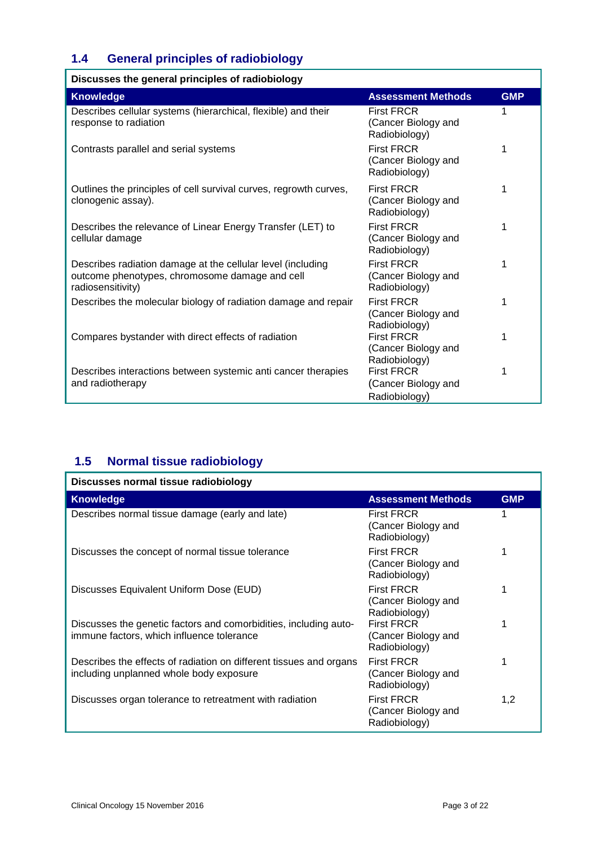# **1.4 General principles of radiobiology**

| Discusses the general principles of radiobiology                                                                                   |                                                           |            |
|------------------------------------------------------------------------------------------------------------------------------------|-----------------------------------------------------------|------------|
| <b>Knowledge</b>                                                                                                                   | <b>Assessment Methods</b>                                 | <b>GMP</b> |
| Describes cellular systems (hierarchical, flexible) and their<br>response to radiation                                             | <b>First FRCR</b><br>(Cancer Biology and<br>Radiobiology) |            |
| Contrasts parallel and serial systems                                                                                              | <b>First FRCR</b><br>(Cancer Biology and<br>Radiobiology) | 1          |
| Outlines the principles of cell survival curves, regrowth curves,<br>clonogenic assay).                                            | <b>First FRCR</b><br>(Cancer Biology and<br>Radiobiology) | 1          |
| Describes the relevance of Linear Energy Transfer (LET) to<br>cellular damage                                                      | <b>First FRCR</b><br>(Cancer Biology and<br>Radiobiology) | 1          |
| Describes radiation damage at the cellular level (including<br>outcome phenotypes, chromosome damage and cell<br>radiosensitivity) | <b>First FRCR</b><br>(Cancer Biology and<br>Radiobiology) | 1          |
| Describes the molecular biology of radiation damage and repair                                                                     | <b>First FRCR</b><br>(Cancer Biology and<br>Radiobiology) | 1          |
| Compares bystander with direct effects of radiation                                                                                | <b>First FRCR</b><br>(Cancer Biology and<br>Radiobiology) | 1          |
| Describes interactions between systemic anti cancer therapies<br>and radiotherapy                                                  | <b>First FRCR</b><br>(Cancer Biology and<br>Radiobiology) | 1          |

# **1.5 Normal tissue radiobiology**

| Discusses normal tissue radiobiology                                                                          |                                                           |            |
|---------------------------------------------------------------------------------------------------------------|-----------------------------------------------------------|------------|
| <b>Knowledge</b>                                                                                              | <b>Assessment Methods</b>                                 | <b>GMP</b> |
| Describes normal tissue damage (early and late)                                                               | <b>First FRCR</b><br>(Cancer Biology and<br>Radiobiology) |            |
| Discusses the concept of normal tissue tolerance                                                              | <b>First FRCR</b><br>(Cancer Biology and<br>Radiobiology) |            |
| Discusses Equivalent Uniform Dose (EUD)                                                                       | <b>First FRCR</b><br>(Cancer Biology and<br>Radiobiology) |            |
| Discusses the genetic factors and comorbidities, including auto-<br>immune factors, which influence tolerance | <b>First FRCR</b><br>(Cancer Biology and<br>Radiobiology) |            |
| Describes the effects of radiation on different tissues and organs<br>including unplanned whole body exposure | <b>First FRCR</b><br>(Cancer Biology and<br>Radiobiology) |            |
| Discusses organ tolerance to retreatment with radiation                                                       | <b>First FRCR</b><br>(Cancer Biology and<br>Radiobiology) | 1,2        |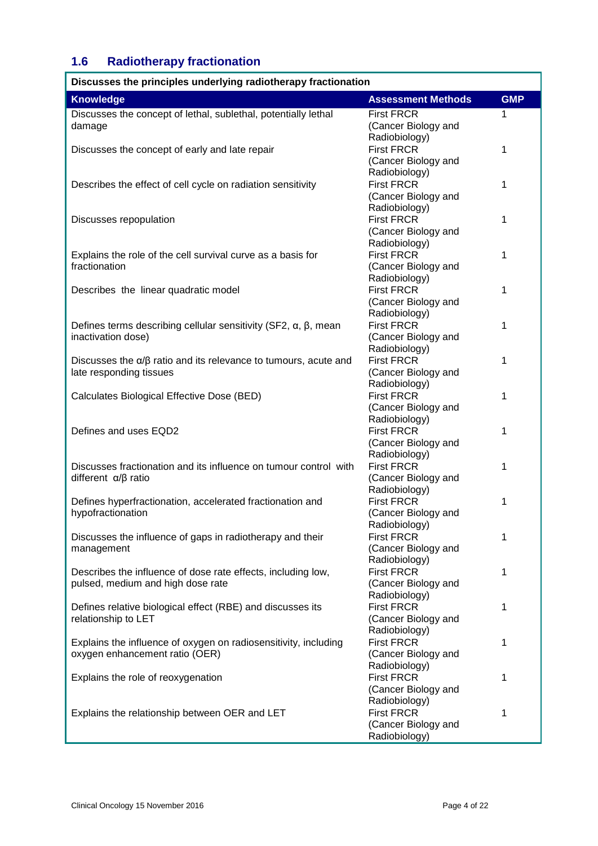# **1.6 Radiotherapy fractionation**

| Discusses the principles underlying radiotherapy fractionation                |                           |            |
|-------------------------------------------------------------------------------|---------------------------|------------|
| <b>Knowledge</b>                                                              | <b>Assessment Methods</b> | <b>GMP</b> |
| Discusses the concept of lethal, sublethal, potentially lethal                | <b>First FRCR</b>         | 1          |
| damage                                                                        | (Cancer Biology and       |            |
|                                                                               | Radiobiology)             |            |
| Discusses the concept of early and late repair                                | <b>First FRCR</b>         | 1          |
|                                                                               | (Cancer Biology and       |            |
|                                                                               | Radiobiology)             |            |
| Describes the effect of cell cycle on radiation sensitivity                   | <b>First FRCR</b>         | 1          |
|                                                                               | (Cancer Biology and       |            |
|                                                                               | Radiobiology)             |            |
| Discusses repopulation                                                        | <b>First FRCR</b>         | 1          |
|                                                                               | (Cancer Biology and       |            |
|                                                                               | Radiobiology)             |            |
| Explains the role of the cell survival curve as a basis for                   | <b>First FRCR</b>         | 1          |
| fractionation                                                                 | (Cancer Biology and       |            |
|                                                                               | Radiobiology)             |            |
| Describes the linear quadratic model                                          | <b>First FRCR</b>         | 1          |
|                                                                               | (Cancer Biology and       |            |
|                                                                               | Radiobiology)             |            |
| Defines terms describing cellular sensitivity (SF2, $\alpha$ , $\beta$ , mean | <b>First FRCR</b>         | 1          |
| inactivation dose)                                                            | (Cancer Biology and       |            |
|                                                                               | Radiobiology)             |            |
| Discusses the $\alpha/\beta$ ratio and its relevance to tumours, acute and    | <b>First FRCR</b>         | 1          |
| late responding tissues                                                       | (Cancer Biology and       |            |
|                                                                               | Radiobiology)             |            |
| Calculates Biological Effective Dose (BED)                                    | <b>First FRCR</b>         | 1          |
|                                                                               | (Cancer Biology and       |            |
|                                                                               | Radiobiology)             |            |
| Defines and uses EQD2                                                         | <b>First FRCR</b>         | 1          |
|                                                                               | (Cancer Biology and       |            |
|                                                                               | Radiobiology)             |            |
| Discusses fractionation and its influence on tumour control with              | <b>First FRCR</b>         | 1          |
| different $\alpha/\beta$ ratio                                                | (Cancer Biology and       |            |
|                                                                               | Radiobiology)             |            |
| Defines hyperfractionation, accelerated fractionation and                     | <b>First FRCR</b>         | 1          |
| hypofractionation                                                             | (Cancer Biology and       |            |
|                                                                               | Radiobiology)             |            |
| Discusses the influence of gaps in radiotherapy and their                     | <b>First FRCR</b>         | 1          |
| management                                                                    | (Cancer Biology and       |            |
|                                                                               | Radiobiology)             |            |
| Describes the influence of dose rate effects, including low,                  | <b>First FRCR</b>         | 1          |
| pulsed, medium and high dose rate                                             | (Cancer Biology and       |            |
|                                                                               | Radiobiology)             |            |
| Defines relative biological effect (RBE) and discusses its                    | <b>First FRCR</b>         | 1          |
| relationship to LET                                                           | (Cancer Biology and       |            |
|                                                                               | Radiobiology)             |            |
| Explains the influence of oxygen on radiosensitivity, including               | <b>First FRCR</b>         | 1          |
| oxygen enhancement ratio (OER)                                                | (Cancer Biology and       |            |
|                                                                               | Radiobiology)             |            |
| Explains the role of reoxygenation                                            | <b>First FRCR</b>         | 1          |
|                                                                               | (Cancer Biology and       |            |
|                                                                               | Radiobiology)             |            |
| Explains the relationship between OER and LET                                 | <b>First FRCR</b>         | 1          |
|                                                                               | (Cancer Biology and       |            |
|                                                                               | Radiobiology)             |            |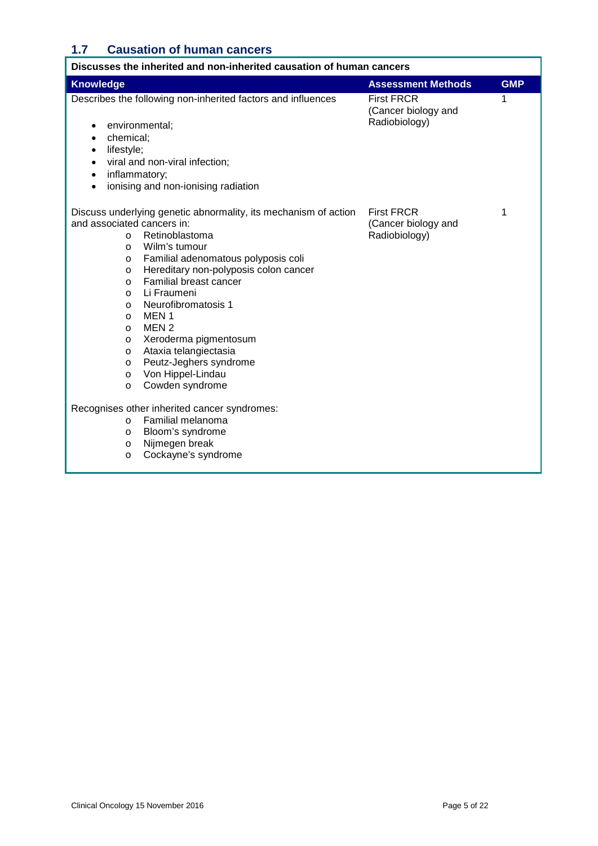### **1.7 Causation of human cancers**

| Discusses the inherited and non-inherited causation of human cancers                                                                                                                                                                                                                                                                                                                                                                                                                                                                                                                                                                                                                    |                                                           |            |
|-----------------------------------------------------------------------------------------------------------------------------------------------------------------------------------------------------------------------------------------------------------------------------------------------------------------------------------------------------------------------------------------------------------------------------------------------------------------------------------------------------------------------------------------------------------------------------------------------------------------------------------------------------------------------------------------|-----------------------------------------------------------|------------|
| <b>Knowledge</b>                                                                                                                                                                                                                                                                                                                                                                                                                                                                                                                                                                                                                                                                        | <b>Assessment Methods</b>                                 | <b>GMP</b> |
| Describes the following non-inherited factors and influences<br>environmental;<br>$\bullet$                                                                                                                                                                                                                                                                                                                                                                                                                                                                                                                                                                                             | <b>First FRCR</b><br>(Cancer biology and<br>Radiobiology) | 1          |
| chemical;<br>$\bullet$                                                                                                                                                                                                                                                                                                                                                                                                                                                                                                                                                                                                                                                                  |                                                           |            |
| lifestyle;<br>٠                                                                                                                                                                                                                                                                                                                                                                                                                                                                                                                                                                                                                                                                         |                                                           |            |
| viral and non-viral infection;<br>$\bullet$                                                                                                                                                                                                                                                                                                                                                                                                                                                                                                                                                                                                                                             |                                                           |            |
| inflammatory;<br>$\bullet$                                                                                                                                                                                                                                                                                                                                                                                                                                                                                                                                                                                                                                                              |                                                           |            |
| ionising and non-ionising radiation<br>$\bullet$                                                                                                                                                                                                                                                                                                                                                                                                                                                                                                                                                                                                                                        |                                                           |            |
| Discuss underlying genetic abnormality, its mechanism of action<br>and associated cancers in:<br>Retinoblastoma<br>$\circ$<br>Wilm's tumour<br>$\circ$<br>Familial adenomatous polyposis coli<br>$\circ$<br>Hereditary non-polyposis colon cancer<br>$\circ$<br>Familial breast cancer<br>$\Omega$<br>Li Fraumeni<br>$\circ$<br>Neurofibromatosis 1<br>$\circ$<br>MEN <sub>1</sub><br>$\circ$<br>MEN <sub>2</sub><br>$\circ$<br>Xeroderma pigmentosum<br>$\circ$<br>Ataxia telangiectasia<br>$\circ$<br>Peutz-Jeghers syndrome<br>$\circ$<br>Von Hippel-Lindau<br>$\circ$<br>Cowden syndrome<br>$\circ$<br>Recognises other inherited cancer syndromes:<br>Familial melanoma<br>$\circ$ | <b>First FRCR</b><br>(Cancer biology and<br>Radiobiology) | 1          |
| Bloom's syndrome<br>$\circ$<br>Nijmegen break<br>$\circ$                                                                                                                                                                                                                                                                                                                                                                                                                                                                                                                                                                                                                                |                                                           |            |
| Cockayne's syndrome<br>$\circ$                                                                                                                                                                                                                                                                                                                                                                                                                                                                                                                                                                                                                                                          |                                                           |            |
|                                                                                                                                                                                                                                                                                                                                                                                                                                                                                                                                                                                                                                                                                         |                                                           |            |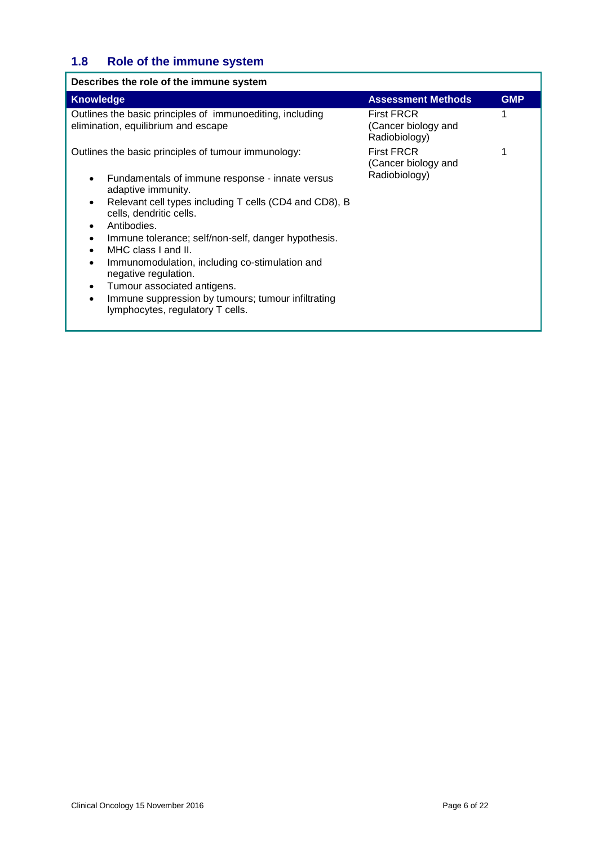# **1.8 Role of the immune system**

| Describes the role of the immune system                                                                                                                                                                                                                                                                                                                                                                                                                                                   |                                                           |            |
|-------------------------------------------------------------------------------------------------------------------------------------------------------------------------------------------------------------------------------------------------------------------------------------------------------------------------------------------------------------------------------------------------------------------------------------------------------------------------------------------|-----------------------------------------------------------|------------|
| Knowledge                                                                                                                                                                                                                                                                                                                                                                                                                                                                                 | <b>Assessment Methods</b>                                 | <b>GMP</b> |
| Outlines the basic principles of immunoediting, including<br>elimination, equilibrium and escape                                                                                                                                                                                                                                                                                                                                                                                          | <b>First FRCR</b><br>(Cancer biology and<br>Radiobiology) |            |
| Outlines the basic principles of tumour immunology:                                                                                                                                                                                                                                                                                                                                                                                                                                       | <b>First FRCR</b><br>(Cancer biology and                  |            |
| Fundamentals of immune response - innate versus<br>adaptive immunity.<br>Relevant cell types including T cells (CD4 and CD8), B<br>cells, dendritic cells.<br>Antibodies.<br>Immune tolerance; self/non-self, danger hypothesis.<br>MHC class I and II.<br>$\bullet$<br>Immunomodulation, including co-stimulation and<br>$\bullet$<br>negative regulation.<br>Tumour associated antigens.<br>Immune suppression by tumours; tumour infiltrating<br>٠<br>lymphocytes, regulatory T cells. | Radiobiology)                                             |            |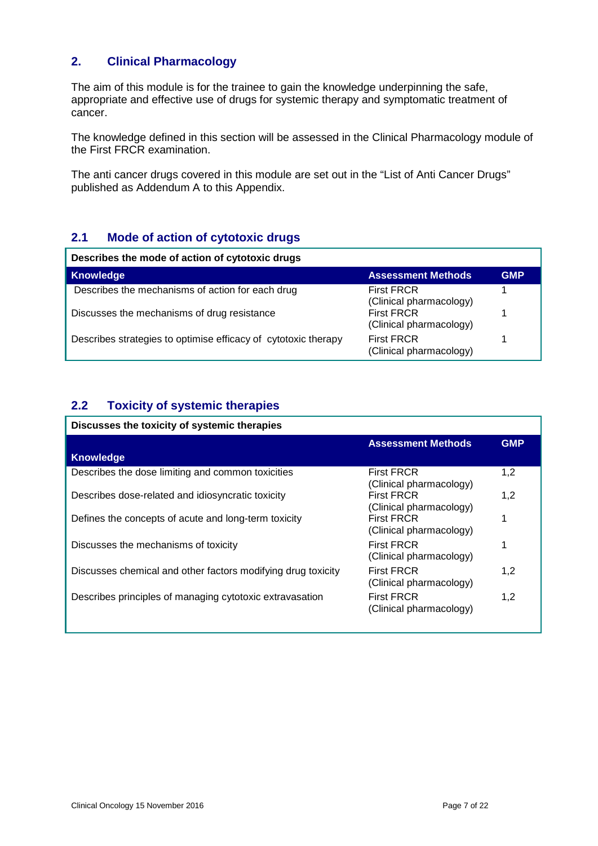### **2. Clinical Pharmacology**

The aim of this module is for the trainee to gain the knowledge underpinning the safe, appropriate and effective use of drugs for systemic therapy and symptomatic treatment of cancer.

The knowledge defined in this section will be assessed in the Clinical Pharmacology module of the First FRCR examination.

The anti cancer drugs covered in this module are set out in the "List of Anti Cancer Drugs" published as Addendum A to this Appendix.

### **2.1 Mode of action of cytotoxic drugs**

| Describes the mode of action of cytotoxic drugs                |                                              |            |
|----------------------------------------------------------------|----------------------------------------------|------------|
| <b>Knowledge</b>                                               | <b>Assessment Methods</b>                    | <b>GMP</b> |
| Describes the mechanisms of action for each drug               | <b>First FRCR</b><br>(Clinical pharmacology) |            |
| Discusses the mechanisms of drug resistance                    | <b>First FRCR</b><br>(Clinical pharmacology) |            |
| Describes strategies to optimise efficacy of cytotoxic therapy | <b>First FRCR</b><br>(Clinical pharmacology) |            |

### **2.2 Toxicity of systemic therapies**

#### **Discusses the toxicity of systemic therapies**

|                                                              | <b>Assessment Methods</b>                    | <b>GMP</b> |
|--------------------------------------------------------------|----------------------------------------------|------------|
| <b>Knowledge</b>                                             |                                              |            |
| Describes the dose limiting and common toxicities            | <b>First FRCR</b><br>(Clinical pharmacology) | 1,2        |
| Describes dose-related and idiosyncratic toxicity            | <b>First FRCR</b><br>(Clinical pharmacology) | 1,2        |
| Defines the concepts of acute and long-term toxicity         | <b>First FRCR</b><br>(Clinical pharmacology) | 1          |
| Discusses the mechanisms of toxicity                         | <b>First FRCR</b><br>(Clinical pharmacology) |            |
| Discusses chemical and other factors modifying drug toxicity | <b>First FRCR</b><br>(Clinical pharmacology) | 1,2        |
| Describes principles of managing cytotoxic extravasation     | <b>First FRCR</b><br>(Clinical pharmacology) | 1.2        |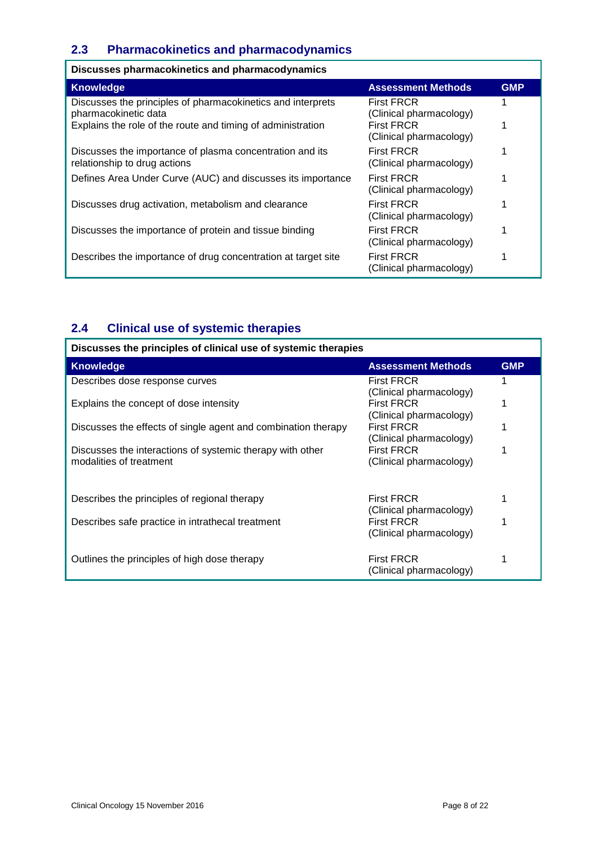### **2.3 Pharmacokinetics and pharmacodynamics**

| Discusses pharmacokinetics and pharmacodynamics                                                                                                    |                                                                                              |            |
|----------------------------------------------------------------------------------------------------------------------------------------------------|----------------------------------------------------------------------------------------------|------------|
| <b>Knowledge</b>                                                                                                                                   | <b>Assessment Methods</b>                                                                    | <b>GMP</b> |
| Discusses the principles of pharmacokinetics and interprets<br>pharmacokinetic data<br>Explains the role of the route and timing of administration | <b>First FRCR</b><br>(Clinical pharmacology)<br><b>First FRCR</b><br>(Clinical pharmacology) |            |
| Discusses the importance of plasma concentration and its<br>relationship to drug actions                                                           | <b>First FRCR</b><br>(Clinical pharmacology)                                                 |            |
| Defines Area Under Curve (AUC) and discusses its importance                                                                                        | <b>First FRCR</b><br>(Clinical pharmacology)                                                 |            |
| Discusses drug activation, metabolism and clearance                                                                                                | <b>First FRCR</b><br>(Clinical pharmacology)                                                 |            |
| Discusses the importance of protein and tissue binding                                                                                             | <b>First FRCR</b><br>(Clinical pharmacology)                                                 |            |
| Describes the importance of drug concentration at target site                                                                                      | <b>First FRCR</b><br>(Clinical pharmacology)                                                 |            |

# **2.4 Clinical use of systemic therapies**

| Discusses the principles of clinical use of systemic therapies                       |                                                                         |            |
|--------------------------------------------------------------------------------------|-------------------------------------------------------------------------|------------|
| <b>Knowledge</b>                                                                     | <b>Assessment Methods</b>                                               | <b>GMP</b> |
| Describes dose response curves                                                       | <b>First FRCR</b>                                                       |            |
| Explains the concept of dose intensity                                               | (Clinical pharmacology)<br><b>First FRCR</b><br>(Clinical pharmacology) |            |
| Discusses the effects of single agent and combination therapy                        | <b>First FRCR</b>                                                       |            |
| Discusses the interactions of systemic therapy with other<br>modalities of treatment | (Clinical pharmacology)<br><b>First FRCR</b><br>(Clinical pharmacology) |            |
| Describes the principles of regional therapy                                         | <b>First FRCR</b><br>(Clinical pharmacology)                            |            |
| Describes safe practice in intrathecal treatment                                     | <b>First FRCR</b><br>(Clinical pharmacology)                            |            |
| Outlines the principles of high dose therapy                                         | <b>First FRCR</b><br>(Clinical pharmacology)                            |            |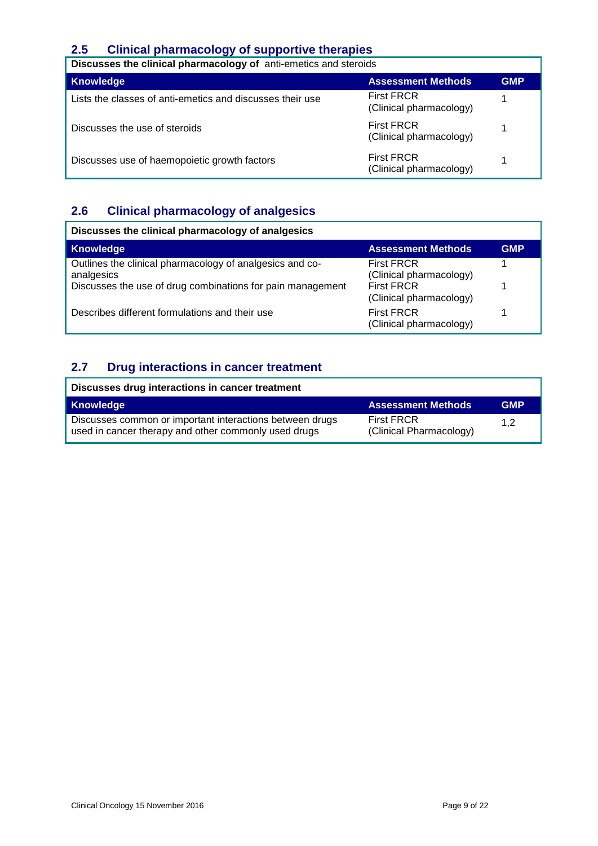### **2.5 Clinical pharmacology of supportive therapies**

| Discusses the clinical pharmacology of anti-emetics and steroids |                                              |            |
|------------------------------------------------------------------|----------------------------------------------|------------|
| <b>Knowledge</b>                                                 | <b>Assessment Methods</b>                    | <b>GMP</b> |
| Lists the classes of anti-emetics and discusses their use        | <b>First FRCR</b><br>(Clinical pharmacology) |            |
| Discusses the use of steroids                                    | <b>First FRCR</b><br>(Clinical pharmacology) |            |
| Discusses use of haemopoietic growth factors                     | <b>First FRCR</b><br>(Clinical pharmacology) |            |

# **2.6 Clinical pharmacology of analgesics**

| Discusses the clinical pharmacology of analgesics                                                                                    |                                                                                              |            |
|--------------------------------------------------------------------------------------------------------------------------------------|----------------------------------------------------------------------------------------------|------------|
| <b>Knowledge</b>                                                                                                                     | <b>Assessment Methods</b>                                                                    | <b>GMP</b> |
| Outlines the clinical pharmacology of analgesics and co-<br>analgesics<br>Discusses the use of drug combinations for pain management | <b>First FRCR</b><br>(Clinical pharmacology)<br><b>First FRCR</b><br>(Clinical pharmacology) |            |
| Describes different formulations and their use                                                                                       | <b>First FRCR</b><br>(Clinical pharmacology)                                                 |            |

### **2.7 Drug interactions in cancer treatment**

| Discusses drug interactions in cancer treatment                                                                  |                                              |            |
|------------------------------------------------------------------------------------------------------------------|----------------------------------------------|------------|
| <b>Knowledge</b>                                                                                                 | <b>Assessment Methods</b>                    | <b>GMP</b> |
| Discusses common or important interactions between drugs<br>used in cancer therapy and other commonly used drugs | <b>First FRCR</b><br>(Clinical Pharmacology) | 1.2        |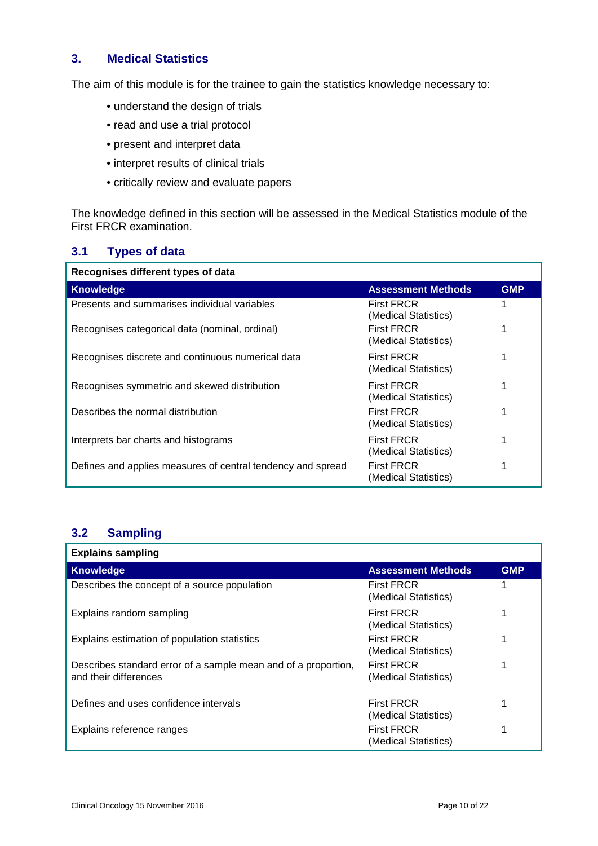#### **3. Medical Statistics**

The aim of this module is for the trainee to gain the statistics knowledge necessary to:

- understand the design of trials
- read and use a trial protocol
- present and interpret data
- interpret results of clinical trials
- critically review and evaluate papers

The knowledge defined in this section will be assessed in the Medical Statistics module of the First FRCR examination.

#### **3.1 Types of data**

| Recognises different types of data                          |                                           |            |
|-------------------------------------------------------------|-------------------------------------------|------------|
| <b>Knowledge</b>                                            | <b>Assessment Methods</b>                 | <b>GMP</b> |
| Presents and summarises individual variables                | <b>First FRCR</b><br>(Medical Statistics) |            |
| Recognises categorical data (nominal, ordinal)              | <b>First FRCR</b><br>(Medical Statistics) |            |
| Recognises discrete and continuous numerical data           | <b>First FRCR</b><br>(Medical Statistics) |            |
| Recognises symmetric and skewed distribution                | <b>First FRCR</b><br>(Medical Statistics) |            |
| Describes the normal distribution                           | <b>First FRCR</b><br>(Medical Statistics) |            |
| Interprets bar charts and histograms                        | <b>First FRCR</b><br>(Medical Statistics) |            |
| Defines and applies measures of central tendency and spread | <b>First FRCR</b><br>(Medical Statistics) |            |

#### **3.2 Sampling**

| <b>Explains sampling</b>                                                                |                                           |            |
|-----------------------------------------------------------------------------------------|-------------------------------------------|------------|
| <b>Knowledge</b>                                                                        | <b>Assessment Methods</b>                 | <b>GMP</b> |
| Describes the concept of a source population                                            | <b>First FRCR</b><br>(Medical Statistics) |            |
| Explains random sampling                                                                | <b>First FRCR</b><br>(Medical Statistics) |            |
| Explains estimation of population statistics                                            | <b>First FRCR</b><br>(Medical Statistics) |            |
| Describes standard error of a sample mean and of a proportion,<br>and their differences | <b>First FRCR</b><br>(Medical Statistics) |            |
| Defines and uses confidence intervals                                                   | <b>First FRCR</b><br>(Medical Statistics) |            |
| Explains reference ranges                                                               | <b>First FRCR</b><br>(Medical Statistics) |            |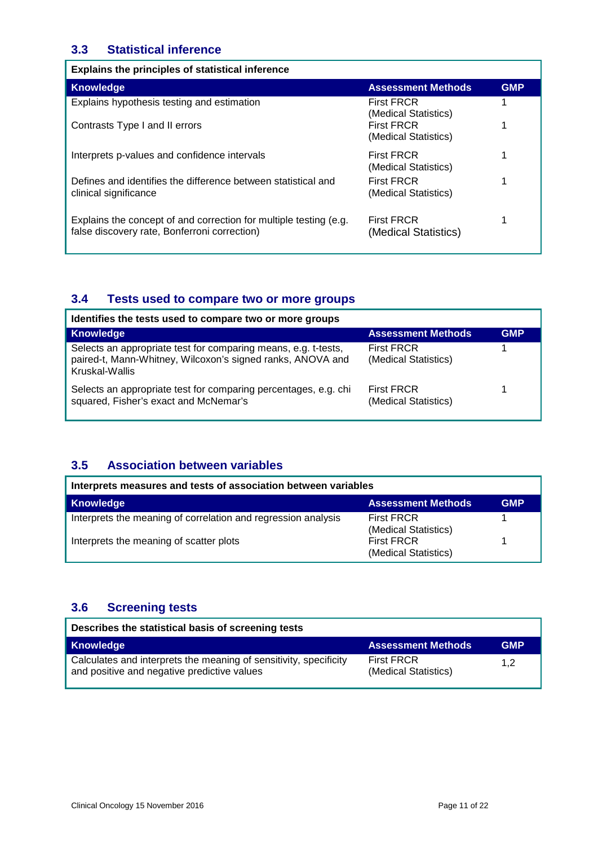#### **3.3 Statistical inference**

| Explains the principles of statistical inference                                                                  |                                           |            |
|-------------------------------------------------------------------------------------------------------------------|-------------------------------------------|------------|
| Knowledge                                                                                                         | <b>Assessment Methods</b>                 | <b>GMP</b> |
| Explains hypothesis testing and estimation                                                                        | <b>First FRCR</b><br>(Medical Statistics) |            |
| Contrasts Type I and II errors                                                                                    | <b>First FRCR</b><br>(Medical Statistics) |            |
| Interprets p-values and confidence intervals                                                                      | <b>First FRCR</b><br>(Medical Statistics) |            |
| Defines and identifies the difference between statistical and<br>clinical significance                            | <b>First FRCR</b><br>(Medical Statistics) |            |
| Explains the concept of and correction for multiple testing (e.g.<br>false discovery rate, Bonferroni correction) | <b>First FRCR</b><br>(Medical Statistics) |            |

### **3.4 Tests used to compare two or more groups**

| Identifies the tests used to compare two or more groups                                                                                        |                                           |            |
|------------------------------------------------------------------------------------------------------------------------------------------------|-------------------------------------------|------------|
| <b>Knowledge</b>                                                                                                                               | <b>Assessment Methods</b>                 | <b>GMP</b> |
| Selects an appropriate test for comparing means, e.g. t-tests,<br>paired-t, Mann-Whitney, Wilcoxon's signed ranks, ANOVA and<br>Kruskal-Wallis | <b>First FRCR</b><br>(Medical Statistics) |            |
| Selects an appropriate test for comparing percentages, e.g. chi<br>squared, Fisher's exact and McNemar's                                       | <b>First FRCR</b><br>(Medical Statistics) |            |

### **3.5 Association between variables**

| Interprets measures and tests of association between variables |                                           |            |
|----------------------------------------------------------------|-------------------------------------------|------------|
| <b>Knowledge</b>                                               | <b>Assessment Methods</b>                 | <b>GMP</b> |
| Interprets the meaning of correlation and regression analysis  | <b>First FRCR</b><br>(Medical Statistics) |            |
| Interprets the meaning of scatter plots                        | <b>First FRCR</b><br>(Medical Statistics) |            |

#### **3.6 Screening tests**

| Describes the statistical basis of screening tests                                                               |                                           |            |
|------------------------------------------------------------------------------------------------------------------|-------------------------------------------|------------|
| Knowledge                                                                                                        | <b>Assessment Methods</b>                 | <b>GMP</b> |
| Calculates and interprets the meaning of sensitivity, specificity<br>and positive and negative predictive values | <b>First FRCR</b><br>(Medical Statistics) | 1.2        |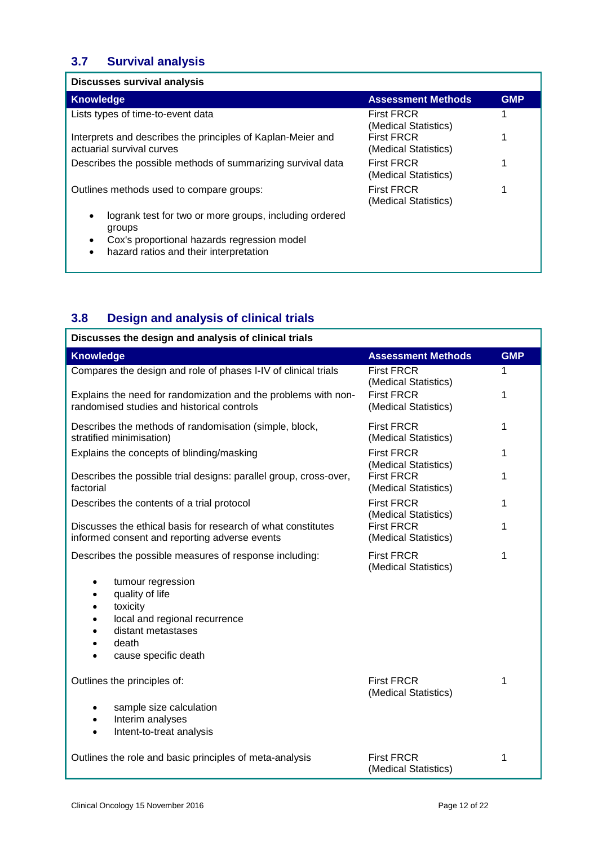# **3.7 Survival analysis**

| <b>Discusses survival analysis</b>                                                       |                                           |            |
|------------------------------------------------------------------------------------------|-------------------------------------------|------------|
| Knowledge                                                                                | <b>Assessment Methods</b>                 | <b>GMP</b> |
| Lists types of time-to-event data                                                        | <b>First FRCR</b><br>(Medical Statistics) |            |
| Interprets and describes the principles of Kaplan-Meier and<br>actuarial survival curves | <b>First FRCR</b><br>(Medical Statistics) |            |
| Describes the possible methods of summarizing survival data                              | <b>First FRCR</b><br>(Medical Statistics) |            |
| Outlines methods used to compare groups:                                                 | <b>First FRCR</b><br>(Medical Statistics) |            |
| logrank test for two or more groups, including ordered<br>groups                         |                                           |            |
| Cox's proportional hazards regression model                                              |                                           |            |
| hazard ratios and their interpretation                                                   |                                           |            |

# **3.8 Design and analysis of clinical trials**

| Discusses the design and analysis of clinical trials                                                                                                  |                                           |            |
|-------------------------------------------------------------------------------------------------------------------------------------------------------|-------------------------------------------|------------|
| <b>Knowledge</b>                                                                                                                                      | <b>Assessment Methods</b>                 | <b>GMP</b> |
| Compares the design and role of phases I-IV of clinical trials                                                                                        | <b>First FRCR</b><br>(Medical Statistics) | 1          |
| Explains the need for randomization and the problems with non-<br>randomised studies and historical controls                                          | <b>First FRCR</b><br>(Medical Statistics) | 1          |
| Describes the methods of randomisation (simple, block,<br>stratified minimisation)                                                                    | <b>First FRCR</b><br>(Medical Statistics) | 1          |
| Explains the concepts of blinding/masking                                                                                                             | <b>First FRCR</b><br>(Medical Statistics) | 1          |
| Describes the possible trial designs: parallel group, cross-over,<br>factorial                                                                        | <b>First FRCR</b><br>(Medical Statistics) | 1          |
| Describes the contents of a trial protocol                                                                                                            | <b>First FRCR</b><br>(Medical Statistics) | 1          |
| Discusses the ethical basis for research of what constitutes<br>informed consent and reporting adverse events                                         | <b>First FRCR</b><br>(Medical Statistics) | 1          |
| Describes the possible measures of response including:                                                                                                | <b>First FRCR</b><br>(Medical Statistics) | 1          |
| tumour regression<br>$\bullet$<br>quality of life<br>toxicity<br>local and regional recurrence<br>distant metastases<br>death<br>cause specific death |                                           |            |
| Outlines the principles of:                                                                                                                           | <b>First FRCR</b><br>(Medical Statistics) | 1          |
| sample size calculation<br>٠                                                                                                                          |                                           |            |
| Interim analyses<br>Intent-to-treat analysis                                                                                                          |                                           |            |
|                                                                                                                                                       |                                           |            |
| Outlines the role and basic principles of meta-analysis                                                                                               | <b>First FRCR</b><br>(Medical Statistics) | 1          |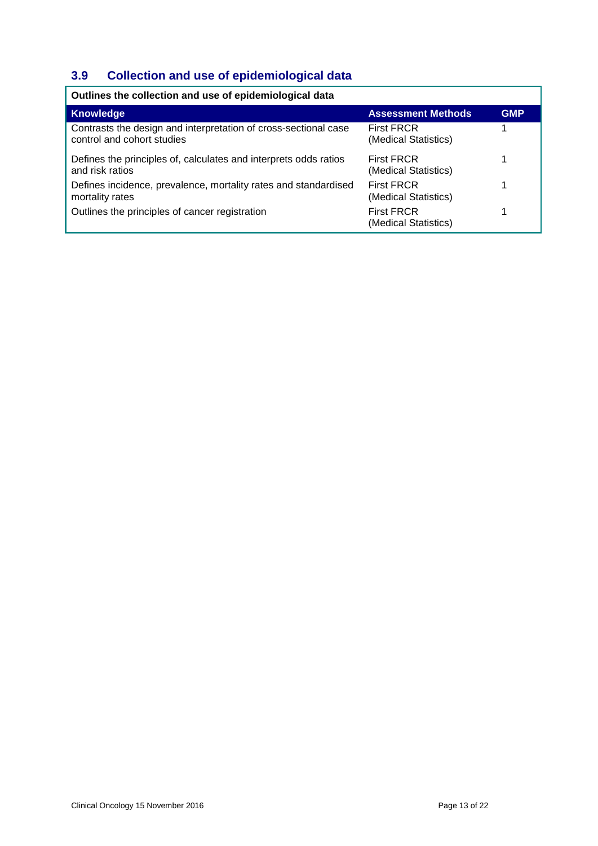# **3.9 Collection and use of epidemiological data**

| Outlines the collection and use of epidemiological data                                       |                                           |            |
|-----------------------------------------------------------------------------------------------|-------------------------------------------|------------|
| <b>Knowledge</b>                                                                              | <b>Assessment Methods</b>                 | <b>GMP</b> |
| Contrasts the design and interpretation of cross-sectional case<br>control and cohort studies | <b>First FRCR</b><br>(Medical Statistics) |            |
| Defines the principles of, calculates and interprets odds ratios<br>and risk ratios           | <b>First FRCR</b><br>(Medical Statistics) |            |
| Defines incidence, prevalence, mortality rates and standardised<br>mortality rates            | <b>First FRCR</b><br>(Medical Statistics) |            |
| Outlines the principles of cancer registration                                                | <b>First FRCR</b><br>(Medical Statistics) |            |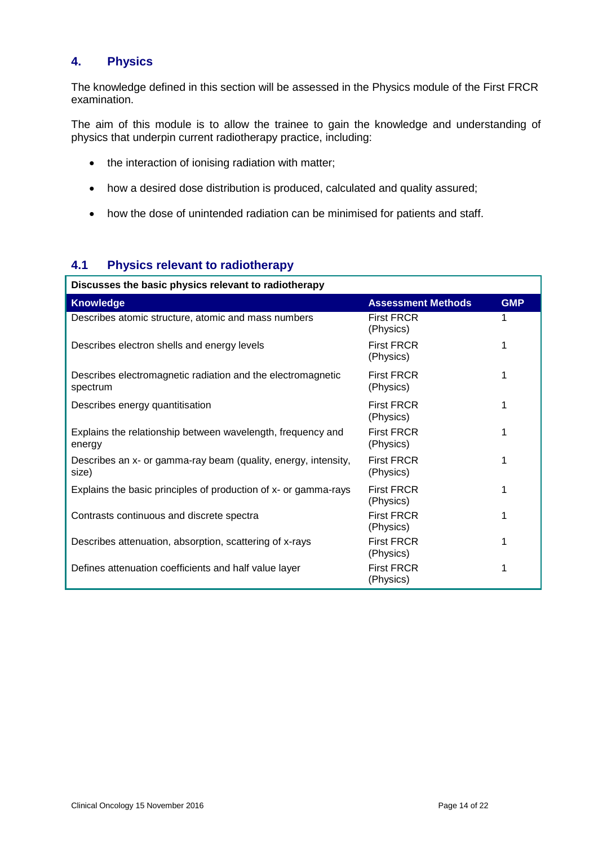#### **4. Physics**

The knowledge defined in this section will be assessed in the Physics module of the First FRCR examination.

The aim of this module is to allow the trainee to gain the knowledge and understanding of physics that underpin current radiotherapy practice, including:

- the interaction of ionising radiation with matter;
- how a desired dose distribution is produced, calculated and quality assured;
- how the dose of unintended radiation can be minimised for patients and staff.

### **4.1 Physics relevant to radiotherapy**

| Discusses the basic physics relevant to radiotherapy                    |                                |            |
|-------------------------------------------------------------------------|--------------------------------|------------|
| <b>Knowledge</b>                                                        | <b>Assessment Methods</b>      | <b>GMP</b> |
| Describes atomic structure, atomic and mass numbers                     | <b>First FRCR</b><br>(Physics) |            |
| Describes electron shells and energy levels                             | <b>First FRCR</b><br>(Physics) | 1          |
| Describes electromagnetic radiation and the electromagnetic<br>spectrum | <b>First FRCR</b><br>(Physics) | 1          |
| Describes energy quantitisation                                         | <b>First FRCR</b><br>(Physics) | 1          |
| Explains the relationship between wavelength, frequency and<br>energy   | <b>First FRCR</b><br>(Physics) |            |
| Describes an x- or gamma-ray beam (quality, energy, intensity,<br>size) | <b>First FRCR</b><br>(Physics) | 1          |
| Explains the basic principles of production of x- or gamma-rays         | <b>First FRCR</b><br>(Physics) |            |
| Contrasts continuous and discrete spectra                               | <b>First FRCR</b><br>(Physics) |            |
| Describes attenuation, absorption, scattering of x-rays                 | <b>First FRCR</b><br>(Physics) |            |
| Defines attenuation coefficients and half value layer                   | <b>First FRCR</b><br>(Physics) |            |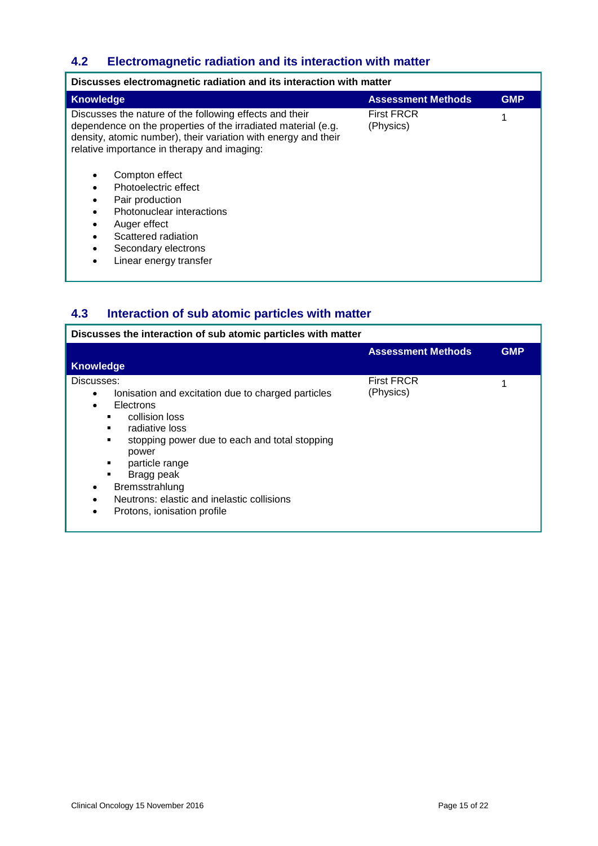## **4.2 Electromagnetic radiation and its interaction with matter**

| <b>GMP</b><br>Knowledge<br><b>Assessment Methods</b><br><b>First FRCR</b><br>Discusses the nature of the following effects and their<br>dependence on the properties of the irradiated material (e.g.<br>(Physics)<br>density, atomic number), their variation with energy and their<br>relative importance in therapy and imaging:<br>Compton effect | Discusses electromagnetic radiation and its interaction with matter |  |  |
|-------------------------------------------------------------------------------------------------------------------------------------------------------------------------------------------------------------------------------------------------------------------------------------------------------------------------------------------------------|---------------------------------------------------------------------|--|--|
|                                                                                                                                                                                                                                                                                                                                                       |                                                                     |  |  |
| Photoelectric effect<br>Pair production<br>Photonuclear interactions<br>Auger effect<br>٠<br>Scattered radiation<br>Secondary electrons<br>Linear energy transfer<br>$\bullet$                                                                                                                                                                        |                                                                     |  |  |

### **4.3 Interaction of sub atomic particles with matter**

| Discusses the interaction of sub atomic particles with matter                                                                                                                                                                                                                                                                                                                        |                                |            |
|--------------------------------------------------------------------------------------------------------------------------------------------------------------------------------------------------------------------------------------------------------------------------------------------------------------------------------------------------------------------------------------|--------------------------------|------------|
|                                                                                                                                                                                                                                                                                                                                                                                      | <b>Assessment Methods</b>      | <b>GMP</b> |
| <b>Knowledge</b>                                                                                                                                                                                                                                                                                                                                                                     |                                |            |
| Discusses:<br>lonisation and excitation due to charged particles<br>٠<br>Electrons<br>$\bullet$<br>collision loss<br>radiative loss<br>٠<br>stopping power due to each and total stopping<br>٠<br>power<br>particle range<br>٠<br>Bragg peak<br>$\blacksquare$<br>Bremsstrahlung<br>٠<br>Neutrons: elastic and inelastic collisions<br>٠<br>Protons, ionisation profile<br>$\bullet$ | <b>First FRCR</b><br>(Physics) |            |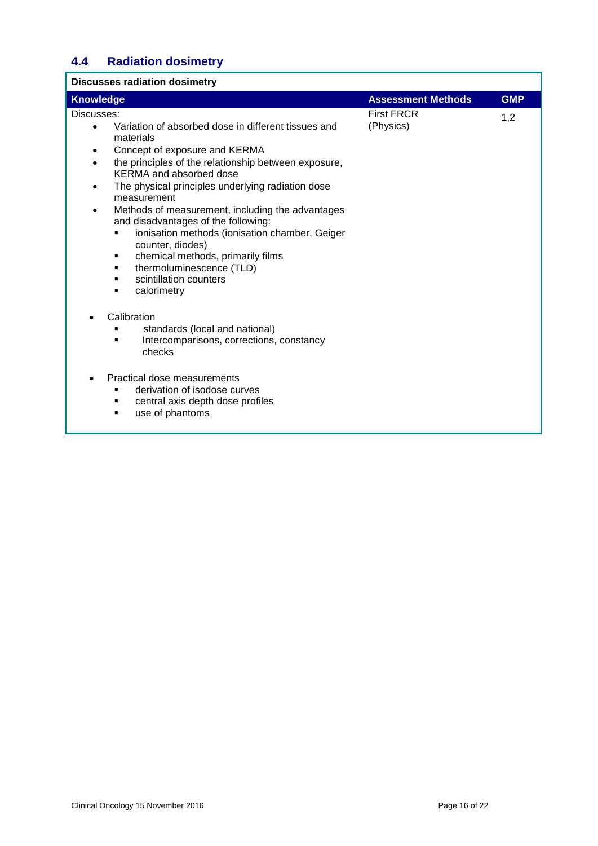# **4.4 Radiation dosimetry**

| <b>Discusses radiation dosimetry</b>                                                                                                                                                                                                                                                                                                                                                                                                                                                                                                                                                                              |                                |            |
|-------------------------------------------------------------------------------------------------------------------------------------------------------------------------------------------------------------------------------------------------------------------------------------------------------------------------------------------------------------------------------------------------------------------------------------------------------------------------------------------------------------------------------------------------------------------------------------------------------------------|--------------------------------|------------|
| <b>Knowledge</b>                                                                                                                                                                                                                                                                                                                                                                                                                                                                                                                                                                                                  | <b>Assessment Methods</b>      | <b>GMP</b> |
| Discusses:<br>Variation of absorbed dose in different tissues and<br>$\bullet$<br>materials<br>Concept of exposure and KERMA<br>٠<br>the principles of the relationship between exposure,<br>$\bullet$<br>KERMA and absorbed dose<br>The physical principles underlying radiation dose<br>$\bullet$<br>measurement<br>Methods of measurement, including the advantages<br>and disadvantages of the following:<br>ionisation methods (ionisation chamber, Geiger<br>counter, diodes)<br>chemical methods, primarily films<br>п<br>thermoluminescence (TLD)<br>٠<br>scintillation counters<br>٠<br>calorimetry<br>٠ | <b>First FRCR</b><br>(Physics) | 1,2        |
| Calibration<br>standards (local and national)<br>Intercomparisons, corrections, constancy<br>checks<br>Practical dose measurements<br>derivation of isodose curves<br>central axis depth dose profiles<br>use of phantoms<br>٠                                                                                                                                                                                                                                                                                                                                                                                    |                                |            |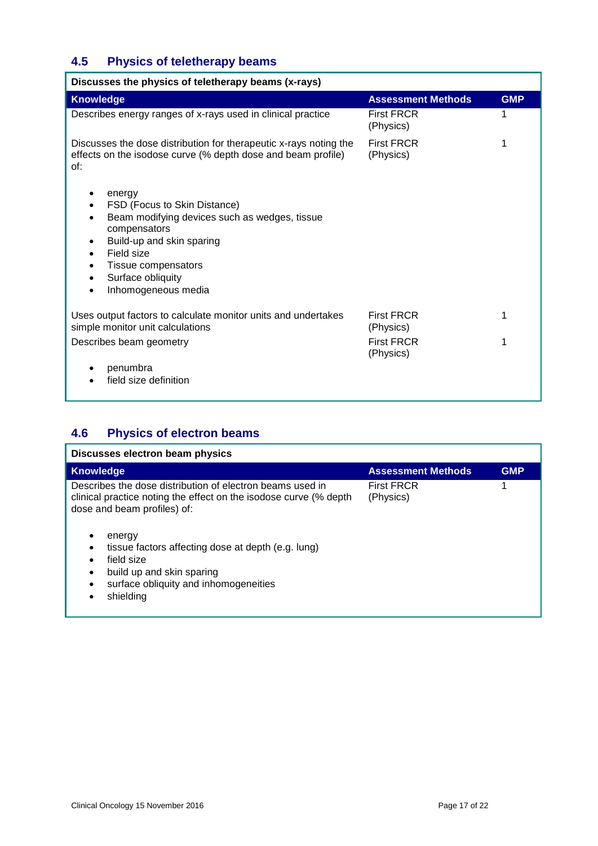# **4.5 Physics of teletherapy beams**

| Discusses the physics of teletherapy beams (x-rays)                                                                                                                                                                                     |                                |            |
|-----------------------------------------------------------------------------------------------------------------------------------------------------------------------------------------------------------------------------------------|--------------------------------|------------|
| <b>Knowledge</b>                                                                                                                                                                                                                        | <b>Assessment Methods</b>      | <b>GMP</b> |
| Describes energy ranges of x-rays used in clinical practice                                                                                                                                                                             | <b>First FRCR</b><br>(Physics) |            |
| Discusses the dose distribution for therapeutic x-rays noting the<br>effects on the isodose curve (% depth dose and beam profile)<br>of:                                                                                                | <b>First FRCR</b><br>(Physics) |            |
| energy<br>FSD (Focus to Skin Distance)<br>Beam modifying devices such as wedges, tissue<br>compensators<br>Build-up and skin sparing<br>Field size<br>Tissue compensators<br>٠<br>Surface obliquity<br>Inhomogeneous media<br>$\bullet$ |                                |            |
| Uses output factors to calculate monitor units and undertakes<br>simple monitor unit calculations                                                                                                                                       | <b>First FRCR</b><br>(Physics) |            |
| Describes beam geometry                                                                                                                                                                                                                 | <b>First FRCR</b><br>(Physics) |            |
| penumbra                                                                                                                                                                                                                                |                                |            |
| field size definition                                                                                                                                                                                                                   |                                |            |

### **4.6 Physics of electron beams**

| Discusses electron beam physics                                                                                                                                                                                                                                                                                                |                                |            |
|--------------------------------------------------------------------------------------------------------------------------------------------------------------------------------------------------------------------------------------------------------------------------------------------------------------------------------|--------------------------------|------------|
| <b>Knowledge</b>                                                                                                                                                                                                                                                                                                               | <b>Assessment Methods</b>      | <b>GMP</b> |
| Describes the dose distribution of electron beams used in<br>clinical practice noting the effect on the isodose curve (% depth<br>dose and beam profiles) of:<br>energy<br>tissue factors affecting dose at depth (e.g. lung)<br>field size<br>build up and skin sparing<br>surface obliquity and inhomogeneities<br>shielding | <b>First FRCR</b><br>(Physics) | 4          |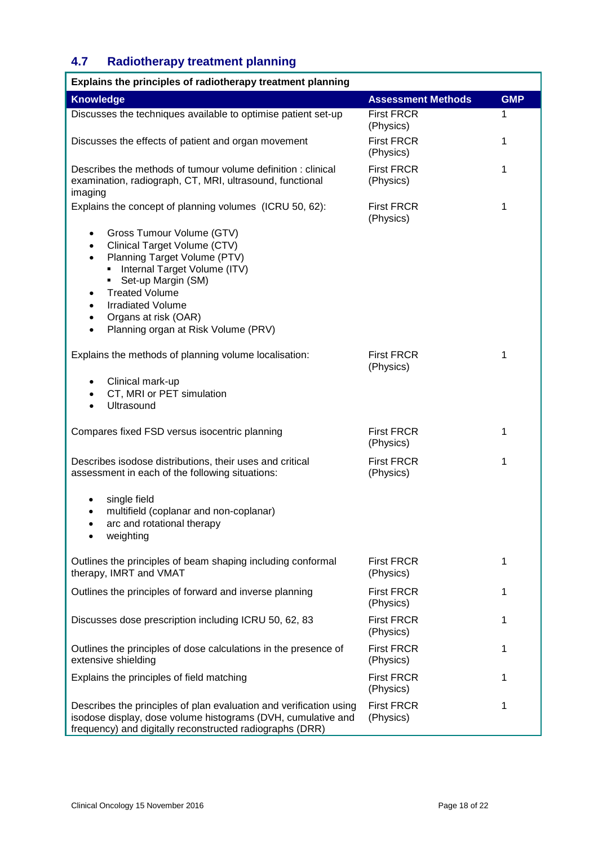# **4.7 Radiotherapy treatment planning**

| Explains the principles of radiotherapy treatment planning                                                                                                                                                                                                                                                                                                     |                                |            |
|----------------------------------------------------------------------------------------------------------------------------------------------------------------------------------------------------------------------------------------------------------------------------------------------------------------------------------------------------------------|--------------------------------|------------|
| <b>Knowledge</b>                                                                                                                                                                                                                                                                                                                                               | <b>Assessment Methods</b>      | <b>GMP</b> |
| Discusses the techniques available to optimise patient set-up                                                                                                                                                                                                                                                                                                  | <b>First FRCR</b><br>(Physics) | 1          |
| Discusses the effects of patient and organ movement                                                                                                                                                                                                                                                                                                            | <b>First FRCR</b><br>(Physics) | 1          |
| Describes the methods of tumour volume definition: clinical<br>examination, radiograph, CT, MRI, ultrasound, functional<br>imaging                                                                                                                                                                                                                             | <b>First FRCR</b><br>(Physics) | 1          |
| Explains the concept of planning volumes (ICRU 50, 62):                                                                                                                                                                                                                                                                                                        | <b>First FRCR</b><br>(Physics) | 1          |
| Gross Tumour Volume (GTV)<br>$\bullet$<br>Clinical Target Volume (CTV)<br>$\bullet$<br>Planning Target Volume (PTV)<br>$\bullet$<br>Internal Target Volume (ITV)<br>Set-up Margin (SM)<br><b>Treated Volume</b><br>$\bullet$<br><b>Irradiated Volume</b><br>$\bullet$<br>Organs at risk (OAR)<br>$\bullet$<br>Planning organ at Risk Volume (PRV)<br>$\bullet$ |                                |            |
| Explains the methods of planning volume localisation:                                                                                                                                                                                                                                                                                                          | <b>First FRCR</b><br>(Physics) | 1          |
| Clinical mark-up<br>٠<br>CT, MRI or PET simulation<br>$\bullet$<br>Ultrasound<br>$\bullet$                                                                                                                                                                                                                                                                     |                                |            |
| Compares fixed FSD versus isocentric planning                                                                                                                                                                                                                                                                                                                  | <b>First FRCR</b><br>(Physics) | 1          |
| Describes isodose distributions, their uses and critical<br>assessment in each of the following situations:                                                                                                                                                                                                                                                    | <b>First FRCR</b><br>(Physics) | 1          |
| single field<br>٠<br>multifield (coplanar and non-coplanar)<br>٠<br>arc and rotational therapy<br>weighting<br>$\bullet$                                                                                                                                                                                                                                       |                                |            |
| Outlines the principles of beam shaping including conformal<br>therapy, IMRT and VMAT                                                                                                                                                                                                                                                                          | <b>First FRCR</b><br>(Physics) | 1          |
| Outlines the principles of forward and inverse planning                                                                                                                                                                                                                                                                                                        | <b>First FRCR</b><br>(Physics) | 1          |
| Discusses dose prescription including ICRU 50, 62, 83                                                                                                                                                                                                                                                                                                          | <b>First FRCR</b><br>(Physics) | 1          |
| Outlines the principles of dose calculations in the presence of<br>extensive shielding                                                                                                                                                                                                                                                                         | <b>First FRCR</b><br>(Physics) | 1          |
| Explains the principles of field matching                                                                                                                                                                                                                                                                                                                      | <b>First FRCR</b><br>(Physics) | 1          |
| Describes the principles of plan evaluation and verification using<br>isodose display, dose volume histograms (DVH, cumulative and<br>frequency) and digitally reconstructed radiographs (DRR)                                                                                                                                                                 | <b>First FRCR</b><br>(Physics) | 1          |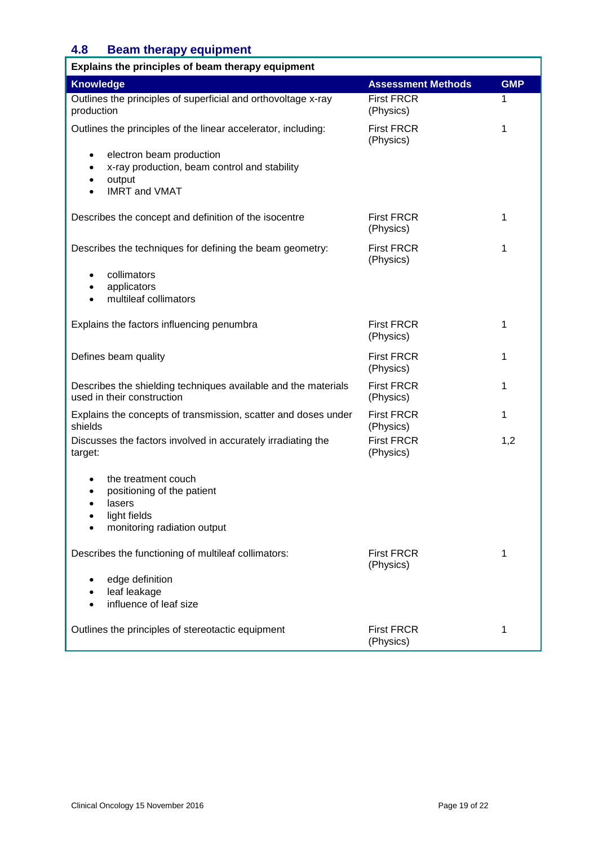### **4.8 Beam therapy equipment**

| Explains the principles of beam therapy equipment                                                                                                              |                                |            |
|----------------------------------------------------------------------------------------------------------------------------------------------------------------|--------------------------------|------------|
| <b>Knowledge</b>                                                                                                                                               | <b>Assessment Methods</b>      | <b>GMP</b> |
| Outlines the principles of superficial and orthovoltage x-ray<br>production                                                                                    | <b>First FRCR</b><br>(Physics) | 1          |
| Outlines the principles of the linear accelerator, including:                                                                                                  | <b>First FRCR</b><br>(Physics) | 1          |
| electron beam production<br>$\bullet$<br>x-ray production, beam control and stability<br>$\bullet$<br>output<br>$\bullet$<br><b>IMRT and VMAT</b><br>$\bullet$ |                                |            |
|                                                                                                                                                                |                                |            |
| Describes the concept and definition of the isocentre                                                                                                          | <b>First FRCR</b><br>(Physics) | 1          |
| Describes the techniques for defining the beam geometry:                                                                                                       | <b>First FRCR</b><br>(Physics) | 1          |
| collimators<br>applicators<br>$\bullet$<br>multileaf collimators<br>$\bullet$                                                                                  |                                |            |
| Explains the factors influencing penumbra                                                                                                                      | <b>First FRCR</b><br>(Physics) | 1          |
| Defines beam quality                                                                                                                                           | <b>First FRCR</b><br>(Physics) | 1          |
| Describes the shielding techniques available and the materials<br>used in their construction                                                                   | <b>First FRCR</b><br>(Physics) | 1          |
| Explains the concepts of transmission, scatter and doses under<br>shields                                                                                      | <b>First FRCR</b><br>(Physics) | 1          |
| Discusses the factors involved in accurately irradiating the<br>target:                                                                                        | <b>First FRCR</b><br>(Physics) | 1,2        |
| the treatment couch<br>$\bullet$<br>positioning of the patient<br>$\bullet$<br>lasers<br>$\bullet$<br>light fields<br>monitoring radiation output              |                                |            |
| Describes the functioning of multileaf collimators:                                                                                                            | <b>First FRCR</b><br>(Physics) | 1          |
| edge definition<br>leaf leakage<br>influence of leaf size                                                                                                      |                                |            |
| Outlines the principles of stereotactic equipment                                                                                                              | <b>First FRCR</b><br>(Physics) | 1          |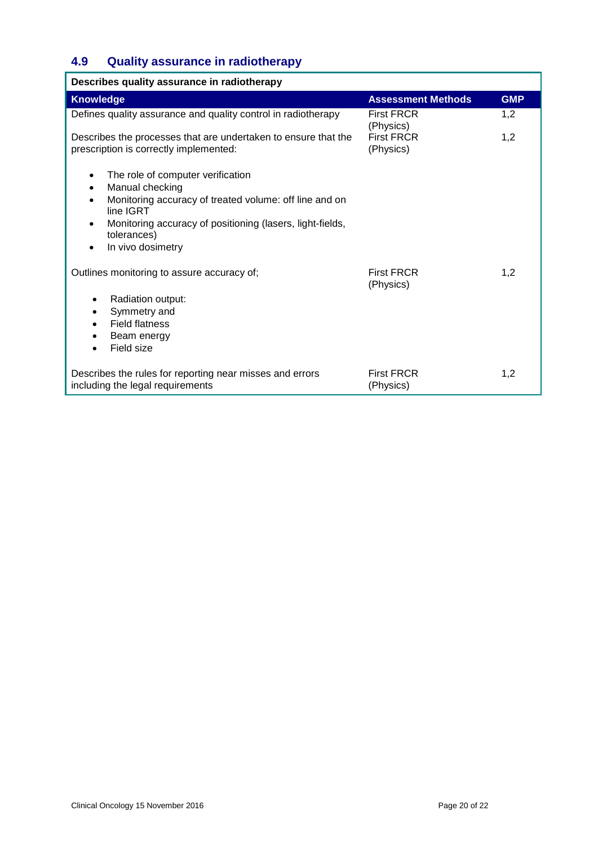# **4.9 Quality assurance in radiotherapy**

| Describes quality assurance in radiotherapy                                                                                                                                                                                               |                                |            |
|-------------------------------------------------------------------------------------------------------------------------------------------------------------------------------------------------------------------------------------------|--------------------------------|------------|
| <b>Knowledge</b>                                                                                                                                                                                                                          | <b>Assessment Methods</b>      | <b>GMP</b> |
| Defines quality assurance and quality control in radiotherapy                                                                                                                                                                             | <b>First FRCR</b><br>(Physics) | 1,2        |
| Describes the processes that are undertaken to ensure that the<br>prescription is correctly implemented:                                                                                                                                  | <b>First FRCR</b><br>(Physics) | 1,2        |
| The role of computer verification<br>Manual checking<br>$\bullet$<br>Monitoring accuracy of treated volume: off line and on<br>line IGRT<br>Monitoring accuracy of positioning (lasers, light-fields,<br>tolerances)<br>In vivo dosimetry |                                |            |
| Outlines monitoring to assure accuracy of;<br>Radiation output:<br>٠<br>Symmetry and<br><b>Field flatness</b><br>Beam energy<br>Field size                                                                                                | <b>First FRCR</b><br>(Physics) | 1,2        |
| Describes the rules for reporting near misses and errors<br>including the legal requirements                                                                                                                                              | <b>First FRCR</b><br>(Physics) | 1,2        |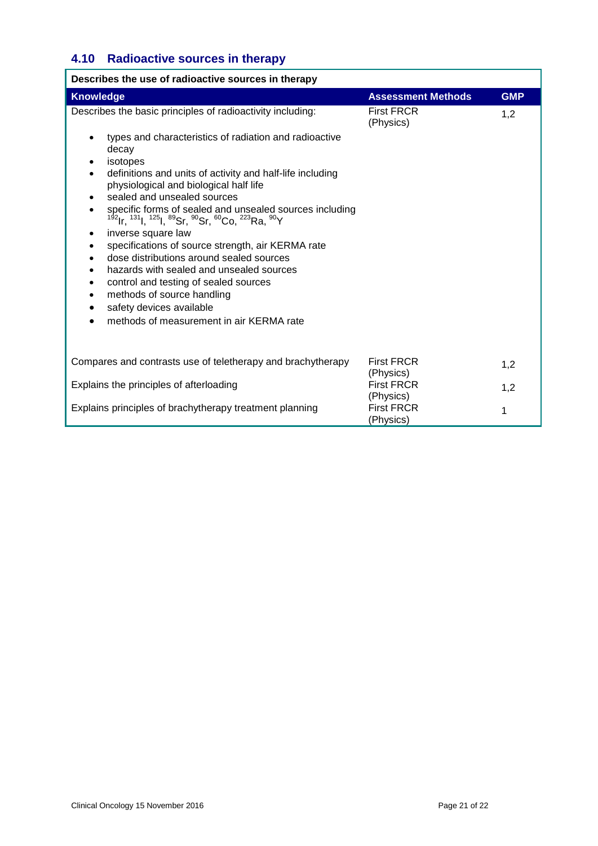# **4.10 Radioactive sources in therapy**

| Describes the use of radioactive sources in therapy                                                                                                                                                                                                                                                                                                                                                                                                                                                                                                                                                                                                                                                                                                                                                                                               |                                |            |
|---------------------------------------------------------------------------------------------------------------------------------------------------------------------------------------------------------------------------------------------------------------------------------------------------------------------------------------------------------------------------------------------------------------------------------------------------------------------------------------------------------------------------------------------------------------------------------------------------------------------------------------------------------------------------------------------------------------------------------------------------------------------------------------------------------------------------------------------------|--------------------------------|------------|
| <b>Knowledge</b>                                                                                                                                                                                                                                                                                                                                                                                                                                                                                                                                                                                                                                                                                                                                                                                                                                  | <b>Assessment Methods</b>      | <b>GMP</b> |
| Describes the basic principles of radioactivity including:                                                                                                                                                                                                                                                                                                                                                                                                                                                                                                                                                                                                                                                                                                                                                                                        | <b>First FRCR</b><br>(Physics) | 1,2        |
| types and characteristics of radiation and radioactive<br>decay<br>isotopes<br>definitions and units of activity and half-life including<br>$\bullet$<br>physiological and biological half life<br>sealed and unsealed sources<br>$\bullet$<br>specific forms of sealed and unsealed sources including<br><sup>192</sup> Ir, <sup>131</sup> I, <sup>125</sup> I, <sup>89</sup> Sr, <sup>90</sup> Sr, <sup>60</sup> Co, <sup>223</sup> Ra, <sup>90</sup> Y<br>inverse square law<br>٠<br>specifications of source strength, air KERMA rate<br>$\bullet$<br>dose distributions around sealed sources<br>hazards with sealed and unsealed sources<br>$\bullet$<br>control and testing of sealed sources<br>$\bullet$<br>methods of source handling<br>$\bullet$<br>safety devices available<br>$\bullet$<br>methods of measurement in air KERMA rate |                                |            |
| Compares and contrasts use of teletherapy and brachytherapy                                                                                                                                                                                                                                                                                                                                                                                                                                                                                                                                                                                                                                                                                                                                                                                       | <b>First FRCR</b><br>(Physics) | 1,2        |
| Explains the principles of afterloading                                                                                                                                                                                                                                                                                                                                                                                                                                                                                                                                                                                                                                                                                                                                                                                                           | <b>First FRCR</b><br>(Physics) | 1,2        |
| Explains principles of brachytherapy treatment planning                                                                                                                                                                                                                                                                                                                                                                                                                                                                                                                                                                                                                                                                                                                                                                                           | <b>First FRCR</b><br>(Physics) | 1          |